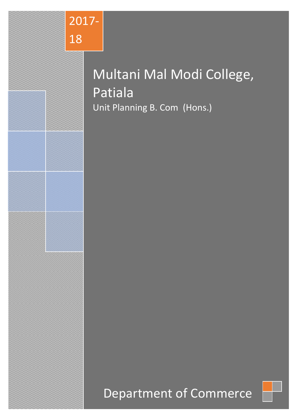

# Multani Mal Modi College, Patiala Unit Planning B. Com (Hons.)

# Department of Commerce

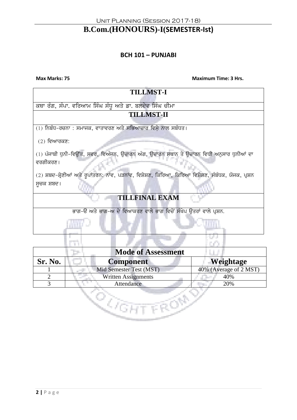## **B.Com.(HONOURS)-I(SEMESTER-Ist)**

#### **BCH 101 – PUNJABI**

**Max Marks: 75 Maximum Time: 3 Hrs.**

| <b>TILLMST-I</b>                                                                                     |  |  |
|------------------------------------------------------------------------------------------------------|--|--|
| ਕਥਾ ਰੰਗ, ਸੰਪਾ. ਵਰਿਆਮ ਸਿੰਘ ਸੰਧੂ ਅਤੇ ਡਾ. ਬਲਦੇਵ ਸਿੰਘ ਚੀਮਾ                                               |  |  |
| <b>TILLMST-II</b>                                                                                    |  |  |
| (1) ਨਿਬੰਧ-ਰਚਨਾ : ਸਮਾਜਕ, ਵਾਤਾਵਰਣ ਅਤੇ ਸਭਿਆਚਾਰ ਵਿਸ਼ੇ ਨਾਲ ਸਬੰਧਤ।                                         |  |  |
| $(2)$ ਵਿਆਰਕਣ:                                                                                        |  |  |
| (1) ਪੰਜਾਬੀ ਧੁਨੀ-ਵਿਉਂਤ, ਸਵਰ, ਵਿਅੰਜਨ, ਉਚਾਰਨ ਅੰਗ, ਉਚਾਰਨ ਸਥਾਨ ਤੇ ਉਚਾਰਨ ਵਿਧੀ ਅਨੁਸਾਰ ਧੁਨੀਆਂ ਦਾ<br>ਵਰਗੀਕਰਣ। |  |  |
| (2) ਸ਼ਬਦ–ਸ਼੍ਰੇਣੀਆਂ ਅਤੇ ਰੁਪਾਂਤਰਨ: ਨਾਂਵ, ਪੜਨਾਂਵ, ਵਿਸ਼ੇਸ਼ਣ, ਕਿਰਿਆ, ਕਿਰਿਆ ਵਿਸ਼ੇਸ਼ਣ, ਸੰਬੰਧਕ, ਯੋਜਕ, ਪ੍ਰਸ਼ਨ |  |  |
| ਸੁਚਕ ਸ਼ਬਦ।                                                                                           |  |  |
| <b>TILLFINAL EXAM</b>                                                                                |  |  |
| ਭਾਗ-ੳ ਅਤੇ ਭਾਗ-ਅ ਦੇ ਵਿਆਕਰਣ ਵਾਲੇ ਭਾਗ ਵਿਚੋਂ ਸੰਖੇਪ ਉਤਰਾਂ ਵਾਲੇ ਪ੍ਰਸ਼ਨ.                                    |  |  |
|                                                                                                      |  |  |
|                                                                                                      |  |  |

|         | <b>Mode of Assessment</b>  |                        |
|---------|----------------------------|------------------------|
| Sr. No. | <b>Component</b>           | Weightage              |
|         | Mid Semester Test (MST)    | 40% (Average of 2 MST) |
|         | <b>Written Assignments</b> | 40%                    |
|         | Attendance                 | 20%                    |
|         |                            |                        |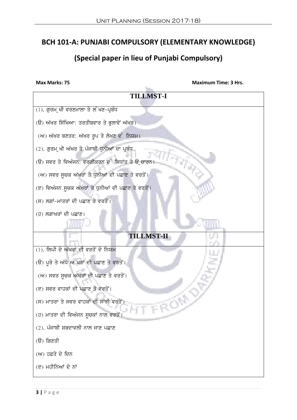## **BCH 101-A: PUNJABI COMPULSORY (ELEMENTARY KNOWLEDGE)**

## **(Special paper in lieu of Punjabi Compulsory)**

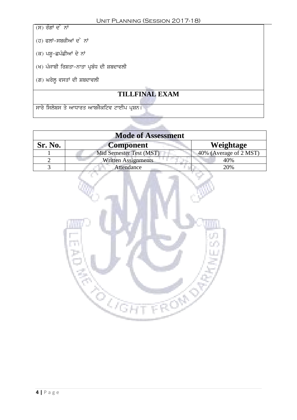$\overline{H}$ ) ਰੰਗਾਂ ਦ<sup>ੇ</sup> ਨਾਂ

- $(d)$  ਫਲਾਂ-ਸਬਜ਼ੀਆਂ ਦ<sup>ੇ</sup> ਨਾਂ
- $(\vec{\alpha})$  ਪਸ਼ੂ-ਛਪੰਛੀਆਂ ਦੇ ਨਾਂ
- (ਖ) ਪੰਜਾਬੀ ਰਿਸ਼ਤਾ-ਨਾਤਾ ਪ੍ਰਬੰਧ ਦੀ ਸ਼ਬਦਾਵਲੀ
- (ਗ) ਘਰੇਲੂ ਵਸਤਾਂ ਦੀ ਸ਼ਬਦਾਵਲੀ

## **TILLFINAL EXAM**

<u>, ਸਾਰੇ ਸਿਲੇਬਸ ਤੇ ਆਧਾਰਤ ਆਬਜੈਕਟਿਵ ਟਾਈਪ ਪ੍ਰਸ਼ਨ।</u>

| <b>Mode of Assessment</b> |                            |                        |  |
|---------------------------|----------------------------|------------------------|--|
| Sr. No.                   | <b>Component</b>           | Weightage              |  |
|                           | Mid Semester Test (MST)    | 40% (Average of 2 MST) |  |
|                           | <b>Written Assignments</b> | 40%                    |  |
|                           | Attendance                 | 20%                    |  |

**COLLEGE** 

alla l

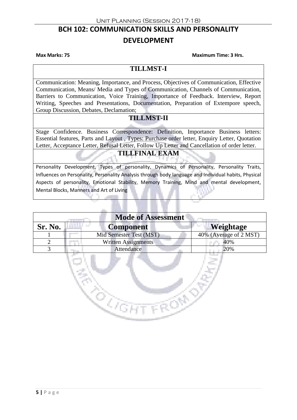## **BCH 102: COMMUNICATION SKILLS AND PERSONALITY DEVELOPMENT**

**Max Marks: 75 Maximum Time: 3 Hrs.**

#### **TILLMST-I**

Communication: Meaning, Importance, and Process, Objectives of Communication, Effective Communication, Means/ Media and Types of Communication, Channels of Communication, Barriers to Communication, Voice Training, Importance of Feedback. Interview, Report Writing, Speeches and Presentations, Documentation, Preparation of Extempore speech, Group Discussion, Debates, Declamation;

#### **TILLMST-II**

Stage Confidence. Business Correspondence: Definition, Importance Business letters: Essential features, Parts and Layout , Types: Purchase order letter, Enquiry Letter, Quotation Letter, Acceptance Letter, Refusal Letter, Follow Up Letter and Cancellation of order letter.

#### **TILLFINAL EXAM**

Personality Development, Types of personality, Dynamics of Personality, Personality Traits, Influences on Personality, Personality Analysis through body language and Individual habits, Physical Aspects of personality, Emotional Stability, Memory Training, Mind and mental development, Mental Blocks, Manners and Art of Living

| <b>Mode of Assessment</b> |                            |                        |
|---------------------------|----------------------------|------------------------|
| Sr. No.                   | <b>Component</b>           | Weightage              |
|                           | Mid Semester Test (MST)    | 40% (Average of 2 MST) |
| 2                         | <b>Written Assignments</b> | 40%                    |
| 3                         | Attendance                 | 20%                    |
|                           |                            |                        |

 $\mathbb{R}$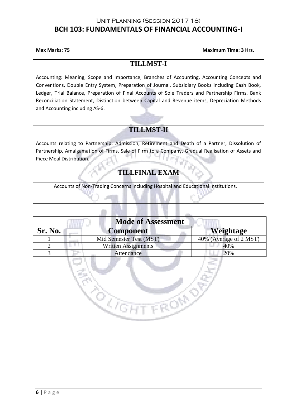### **BCH 103: FUNDAMENTALS OF FINANCIAL ACCOUNTING-I**

**Max Marks: 75 Maximum Time: 3 Hrs.**

### **TILLMST-I**

Accounting: Meaning, Scope and Importance, Branches of Accounting, Accounting Concepts and Conventions, Double Entry System, Preparation of Journal, Subsidiary Books including Cash Book, Ledger, Trial Balance, Preparation of Final Accounts of Sole Traders and Partnership Firms. Bank Reconciliation Statement, Distinction between Capital and Revenue items, Depreciation Methods and Accounting including AS-6.

## **TILLMST-II**

Accounts relating to Partnership: Admission, Retirement and Death of a Partner, Dissolution of Partnership, Amalgamation of Firms, Sale of Firm to a Company, Gradual Realisation of Assets and Piece Meal Distribution.

### **TILLFINAL EXAM**

Accounts of Non-Trading Concerns including Hospital and Educational Institutions.

| <b>Mode of Assessment</b> |                            |                        |
|---------------------------|----------------------------|------------------------|
| Sr. No.                   | <b>Component</b>           | Weightage              |
|                           | Mid Semester Test (MST)    | 40% (Average of 2 MST) |
|                           | <b>Written Assignments</b> | 40%                    |
|                           | Attendance                 | 20%                    |

 $\mathbb{Q}_{\bar{\ell}}$ 

4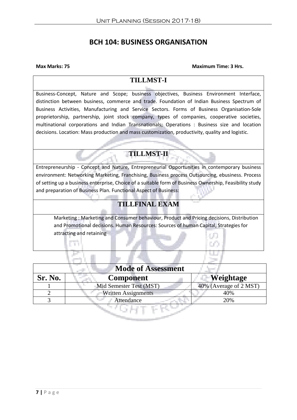## **BCH 104: BUSINESS ORGANISATION**

#### **Max Marks: 75 Maximum Time: 3 Hrs.**

## **TILLMST-I**

Business-Concept, Nature and Scope; business objectives, Business Environment Interface, distinction between business, commerce and trade. Foundation of Indian Business Spectrum of Business Activities, Manufacturing and Service Sectors. Forms of Business Organisation-Sole proprietorship, partnership, joint stock company, types of companies, cooperative societies, multinational corporations and Indian Transnationals; Operations : Business size and location decisions. Location: Mass production and mass customization, productivity, quality and logistic.

## **TILLMST-II**

Entrepreneurship - Concept and Nature, Entrepreneurial Opportunities in contemporary business environment: Networking Marketing, Franchising, Business process Outsourcing, ebusiness. Process of setting up a business enterprise, Choice of a suitable form of Business Ownership, Feasibility study and preparation of Business Plan. Functional Aspect of Business:

## **TILLFINAL EXAM**

Marketing : Marketing and Consumer behaviour, Product and Pricing decisions, Distribution and Promotional decisions. Human Resources: Sources of human Capital, Strategies for attracting and retaining

| <b>Mode of Assessment</b> |                            |                        |
|---------------------------|----------------------------|------------------------|
| <b>Sr. No.</b>            | Component                  | Weightage              |
|                           | Mid Semester Test (MST)    | 40% (Average of 2 MST) |
|                           | <b>Written Assignments</b> | 40%                    |
|                           | Attendance                 | 20%                    |
|                           |                            |                        |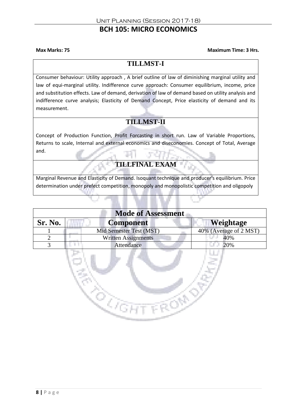## **BCH 105: MICRO ECONOMICS**

**Max Marks: 75 Maximum Time: 3 Hrs.**

### **TILLMST-I**

Consumer behaviour: Utility approach , A brief outline of law of diminishing marginal utility and law of equi-marginal utility. Indifference curve approach: Consumer equilibrium, income, price and substitution effects. Law of demand, derivation of law of demand based on utility analysis and indifference curve analysis; Elasticity of Demand Concept, Price elasticity of demand and its measurement.

## **TILLMST-II**

Concept of Production Function, Profit Forcasting in short run. Law of Variable Proportions, Returns to scale, Internal and external economics and diseconomies. Concept of Total, Average and.

## **TILLFINAL EXAM**

Marginal Revenue and Elasticity of Demand. Isoquant technique and producer's equilibrium. Price determination under prefect competition, monopoly and monopolistic competition and oligopoly

| <b>Mode of Assessment</b> |                            |                        |
|---------------------------|----------------------------|------------------------|
| Sr. No.                   | <b>Component</b>           | Weightage              |
|                           | Mid Semester Test (MST)    | 40% (Average of 2 MST) |
|                           | <b>Written Assignments</b> | 40%                    |
|                           | Attendance                 | 20%                    |
|                           |                            |                        |

3.

Ì.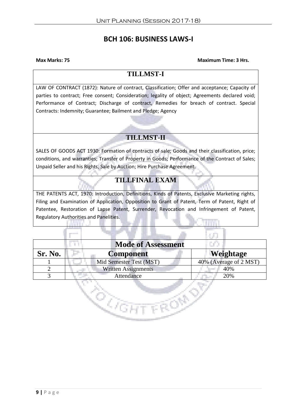## **BCH 106: BUSINESS LAWS-I**

#### **Max Marks: 75 Maximum Time: 3 Hrs.**

#### **TILLMST-I**

LAW OF CONTRACT (1872): Nature of contract, Classification; Offer and acceptance; Capacity of parties to contract; Free consent; Consideration; legality of object; Agreements declared void; Performance of Contract; Discharge of contract, Remedies for breach of contract. Special Contracts: Indemnity; Guarantee; Bailment and Pledge; Agency

#### **TILLMST-II**

SALES OF GOODS ACT 1930: Formation of contracts of sale; Goods and their classification, price; conditions, and warranties; Transfer of Property in Goods; Performance of the Contract of Sales; Unpaid Seller and his Rights, Sale by Auction; Hire Purchase Agreement.

### **TILLFINAL EXAM**

THE PATENTS ACT, 1970: Introduction, Definitions, Kinds of Patents, Exclusive Marketing rights, Filing and Examination of Application, Opposition to Grant of Patent, Term of Patent, Right of Patentee, Restoration of Lapse Patent, Surrender, Revocation and Infringement of Patent, Regulatory Authorities and Panelities.

| <b>Mode of Assessment</b> |                            |                        |
|---------------------------|----------------------------|------------------------|
| Sr. No.                   | <b>Component</b>           | Weightage              |
|                           | Mid Semester Test (MST)    | 40% (Average of 2 MST) |
|                           | <b>Written Assignments</b> | 40%                    |
|                           | Attendance                 | 20%                    |
|                           |                            |                        |

**Alle** 

la str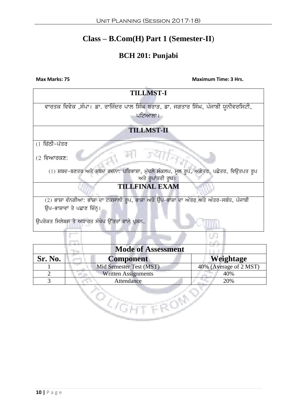## **Class – B.Com(H) Part 1 (Semester-II**)

## **BCH 201: Punjabi**

**Max Marks: 75 Maximum Time: 3 Hrs.** 

| <b>TILLMST-I</b>                                                                        |  |  |
|-----------------------------------------------------------------------------------------|--|--|
|                                                                                         |  |  |
| ਵਾਰਤਕ ਵਿਵੇਕ ,ਸੰਪਾ। ਡਾ. ਰਾਜਿੰਦਰ ਪਾਲ ਸਿੰਘ ਬਰਾੜ, ਡਾ. ਜਗਤਾਰ ਸਿੰਘ, ਪੰਜਾਬੀ ਯੂਨੀਵਰਸਿਟੀ,        |  |  |
| ਪਟਿਆਲਾ।                                                                                 |  |  |
|                                                                                         |  |  |
| <b>TILLMST-II</b>                                                                       |  |  |
|                                                                                         |  |  |
| (1 ਚਿੱਠੀ-ਪੱਤਰ                                                                           |  |  |
|                                                                                         |  |  |
| $(2 \sqrt{2})$ ਵਿਆਰਕਣ:                                                                  |  |  |
|                                                                                         |  |  |
| (1) ਸ਼ਬਦ-ਬਣਤਰ ਅਤੇ ਸ਼ਬਦ ਰਚਨਾ: ਪਰਿਭਾਸ਼ਾ, ਮੁੱਢਲੇ ਸੰਕਲਪ, ਮੂਲ ਰੂਪ, ਅਗੇਤਰ, ਪਛੇਤਰ, ਵਿਉਤਪਤ ਰੂਪ  |  |  |
| ਅਤੇ ਰੁਪਾਂਤਰੀ ਰੁਪ।                                                                       |  |  |
| <b>TILLFINAL EXAM</b>                                                                   |  |  |
| (2) ਭਾਸ਼ਾ ਵੰਨਗੀਆ: ਭਾਸ਼ਾ ਦਾ ਟਕਸਾਲੀ ਰੂਪ, ਭਾਸ਼ਾ ਅਤੇ ਉਪ-ਭਾਸ਼ਾ ਦਾ ਅੰਤਰ ਅਤੇ ਅੰਤਰ-ਸਬੰਧ, ਪੰਜਾਬੀ |  |  |
| ਉਪ–ਭਾਸ਼ਾਵਾਂ ਤੇ ਪਛਾਣ ਚਿੰਨ੍ਹ।                                                             |  |  |
|                                                                                         |  |  |
| ਉਪਰੋਕਤ ਸਿਲੇਬਸ ਤੇ ਅਧਾਰਤ ਸੰਖੇਪ ਉੱਤਰਾਂ ਵਾਲੇ ਪੁਸ਼ਨ                                          |  |  |
|                                                                                         |  |  |
|                                                                                         |  |  |
|                                                                                         |  |  |
| <b>Mode of Assessment</b>                                                               |  |  |
| Sr. No.<br>Weightage<br><b>Component</b>                                                |  |  |

| Sr. No. | <b>Component</b>           | Weightage              |
|---------|----------------------------|------------------------|
|         | Mid Semester Test (MST)    | 40% (Average of 2 MST) |
|         | <b>Written Assignments</b> | 40%                    |
|         | Attendance                 | 20%                    |
|         |                            |                        |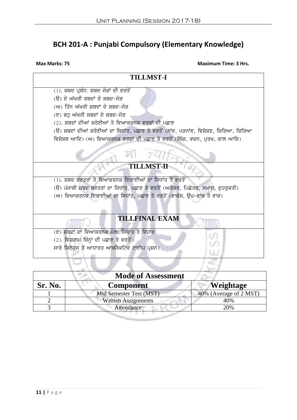## **BCH 201-A : Punjabi Compulsory (Elementary Knowledge)**

**Max Marks: 75 Maximum Time: 3 Hrs.**



| <b>Mode of Assessment</b> |                            |                        |
|---------------------------|----------------------------|------------------------|
| Sr. No.                   | Component                  | Weightage              |
|                           | Mid Semester Test (MST)    | 40% (Average of 2 MST) |
|                           | <b>Written Assignments</b> | 40%                    |
|                           | Attendance                 | 20%                    |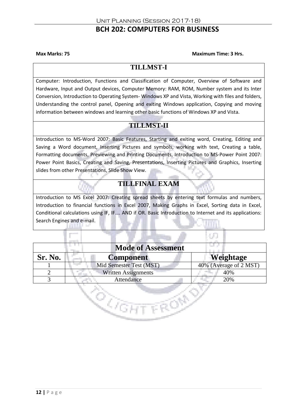## **BCH 202: COMPUTERS FOR BUSINESS**

**Max Marks: 75 Maximum Time: 3 Hrs.**

### **TILLMST-I**

Computer: Introduction, Functions and Classification of Computer, Overview of Software and Hardware, Input and Output devices, Computer Memory: RAM, ROM, Number system and its Inter Conversion, Introduction to Operating System- Windows XP and Vista, Working with files and folders, Understanding the control panel, Opening and exiting Windows application, Copying and moving information between windows and learning other basic functions of Windows XP and Vista.

## **TILLMST-II**

Introduction to MS-Word 2007: Basic Features, Starting and exiting word, Creating, Editing and Saving a Word document, Inserting Pictures and symbols, working with text, Creating a table, Formatting documents, Previewing and Printing Documents, Introduction to MS-Power Point 2007: Power Point Basics, Creating and Saving, Presentations, Inserting Pictures and Graphics, Inserting slides from other Presentations, Slide Show View.

## **TILLFINAL EXAM**

Introduction to MS Excel 2007: Creating spread sheets by entering text formulas and numbers, Introduction to financial functions in Excel 2007, Making Graphs in Excel, Sorting data in Excel, Conditional calculations using IF, IF…. AND if OR. Basic Introduction to Internet and its applications: Search Engines and e-mail.

| <b>Mode of Assessment</b> |                            |                        |
|---------------------------|----------------------------|------------------------|
| Sr. No.                   | <b>Component</b>           | Weightage              |
|                           | Mid Semester Test (MST)    | 40% (Average of 2 MST) |
|                           | <b>Written Assignments</b> | 40%                    |
|                           | Attendance                 | 20%                    |
|                           |                            |                        |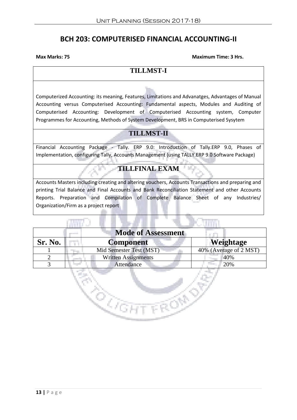## **BCH 203: COMPUTERISED FINANCIAL ACCOUNTING-II**

**COLOR** 

**Max Marks: 75 Maximum Time: 3 Hrs.**

## **TILLMST-I**

Computerized Accounting: its meaning, Features, Limitations and Advanatges, Advantages of Manual Accounting versus Computerised Accounting: Fundamental aspects, Modules and Auditing of Computerised Accounting: Development of Computerised Accounting system, Computer Programmes for Accounting, Methods of System Development, BRS in Computerised Sysytem

## **TILLMST-II**

Financial Accounting Package - Tally. ERP 9.0: Introduction of Tally.ERP 9.0, Phases of Implementation, configuring Tally, Accounts Management (using TALLY.ERP 9.0 Software Package)

## **TILLFINAL EXAM**

Accounts Masters including creating and altering vouchers, Accounts Transactions and preparing and printing Trial Balance and Final Accounts and Bank Reconciliation Statement and other Accounts Reports. Preparation and Compilation of Complete Balance Sheet of any Industries/ Organization/Firm as a project report

| <b>Mode of Assessment</b> |                            |                        |
|---------------------------|----------------------------|------------------------|
| Sr. No.                   | <b>Component</b>           | Weightage              |
|                           | Mid Semester Test (MST)    | 40% (Average of 2 MST) |
|                           | <b>Written Assignments</b> | 40%                    |
|                           | Attendance                 | 20%                    |
|                           |                            |                        |

**REGISTER**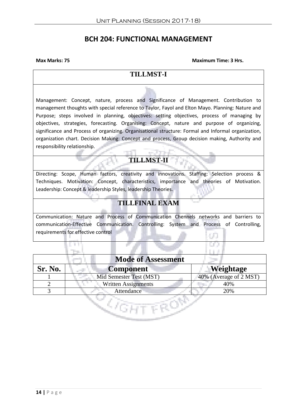## **BCH 204: FUNCTIONAL MANAGEMENT**

**Max Marks: 75 Maximum Time: 3 Hrs.**

#### **TILLMST-I**

Management: Concept, nature, process and Significance of Management. Contribution to management thoughts with special reference to Taylor, Fayol and Elton Mayo. Planning: Nature and Purpose; steps involved in planning, objectives: setting objectives, process of managing by objectives, strategies, forecasting. Organising: Concept, nature and purpose of organizing, significance and Process of organizing. Organisational structure: Formal and Informal organization, organization chart. Decision Making: Concept and process, Group decision making, Authority and responsibility relationship.

## **TILLMST-II**

and the sea

Directing: Scope, Human factors, creativity and innovations. Staffing: Selection process & Techniques. Motivation: Concept, characteristics, importance and theories of Motivation. Leadership: Concept & leadership Styles, leadership Theories.

## **TILLFINAL EXAM**

Communication: Nature and Process of Communication Chennels networks and barriers to communication-Effective Communication. Controlling: System and Process of Controlling, requirements for effective control

| <b>Mode of Assessment</b> |                            |                        |
|---------------------------|----------------------------|------------------------|
| Sr. No.                   | <b>Component</b>           | Weightage              |
|                           | Mid Semester Test (MST)    | 40% (Average of 2 MST) |
|                           | <b>Written Assignments</b> | 40%                    |
|                           | Attendance                 | 20%                    |
|                           |                            |                        |

31 H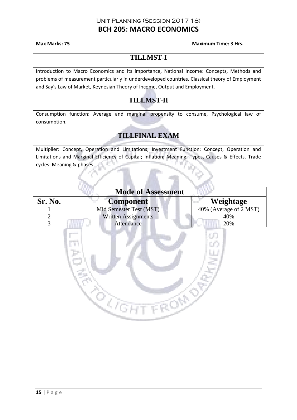## **BCH 205: MACRO ECONOMICS**

**Max Marks: 75 Maximum Time: 3 Hrs.**

## **TILLMST-I**

Introduction to Macro Economics and its importance, National Income: Concepts, Methods and problems of measurement particularly in underdeveloped countries. Classical theory of Employment and Say's Law of Market, Keynesian Theory of Income, Output and Employment.

## **TILLMST-II**

Consumption function: Average and marginal propensity to consume, Psychological law of consumption.

## **TILLFINAL EXAM**

Multiplier: Concept, Operation and Limitations; Investment Function: Concept, Operation and Limitations and Marginal Efficiency of Capital; Inflation: Meaning, Types, Causes & Effects. Trade cycles: Meaning & phases.

|         | <b>Mode of Assessment</b>     |                        |
|---------|-------------------------------|------------------------|
| Sr. No. | <b>Component</b><br>Service C | Weightage              |
|         | Mid Semester Test (MST)       | 40% (Average of 2 MST) |
|         | <b>Written Assignments</b>    | 40%                    |
|         | Attendance                    | 20%                    |

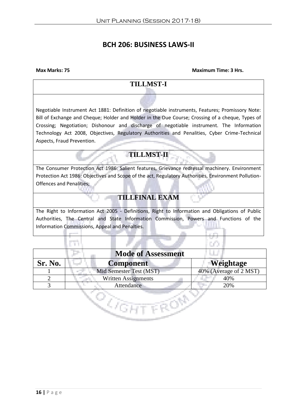## **BCH 206: BUSINESS LAWS-II**

**Max Marks: 75 Maximum Time: 3 Hrs.**

### **TILLMST-I**

Negotiable Instrument Act 1881: Definition of negotiable instruments, Features; Promissory Note: Bill of Exchange and Cheque; Holder and Holder in the Due Course; Crossing of a cheque, Types of Crossing; Negotiation; Dishonour and discharge of negotiable instrument. The Information Technology Act 2008, Objectives, Regulatory Authorities and Penalities, Cyber Crime-Technical Aspects, Fraud Prevention.

### **TILLMST-II**

The Consumer Protection Act 1986: Salient features, Grievance redressal machinery. Environment Protection Act 1986: Objectives and Scope of the act, Regulatory Authorities, Environment Pollution-Offences and Penalities;

## **TILLFINAL EXAM**

The Right to Information Act 2005 - Definitions, Right to Information and Obligations of Public Authorities, The Central and State Information Commission, Powers and Functions of the Information Commissions, Appeal and Penalties.

| <b>Mode of Assessment</b> |                            |                        |
|---------------------------|----------------------------|------------------------|
| Sr. No.                   | <b>Component</b>           | <b>Weightage</b>       |
|                           | Mid Semester Test (MST)    | 40% (Average of 2 MST) |
|                           | <b>Written Assignments</b> | 40%                    |
|                           | <b>Attendance</b>          | 20%                    |
|                           |                            |                        |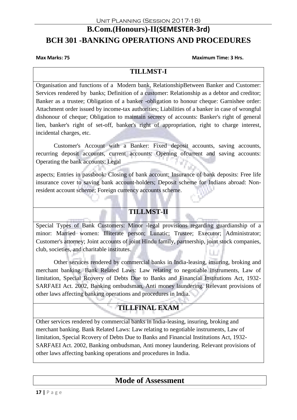## **B.Com.(Honours)-II(SEMESTER-3rd) BCH 301 -BANKING OPERATIONS AND PROCEDURES**

**Max Marks: 75 Maximum Time: 3 Hrs.**

### **TILLMST-I**

Organisation and functions of a Modern bank, RelationshipBetween Banker and Customer: Services rendered by banks; Definition of a customer: Relationship as a debtor and creditor; Banker as a trustee; Obligation of a banker -obligation to honour cheque: Garnishee order: Attachment order issued by income-tax authorities; Liabilities of a banker in case of wrongful dishonour of cheque; Obligation to maintain secrecy of accounts: Banker's right of general lien, banker's right of set-off, banker's right of appropriation, right to charge interest, incidental charges, etc.

Customer's Account with a Banker: Fixed deposit accounts, saving accounts, recurring deposit accounts, current accounts: Opening ofcurrent and saving accounts: Operating the bank accounts; Legal

aspects; Entries in passbook: Closing of bank account; Insurance of bank deposits: Free life insurance cover to saving bank account-holders; Deposit scheme for Indians abroad: Nonresident account scheme; Foreign currency accounts scheme.

## **TILLMST-II**

Special Types of Bank Customers: Minor -legal provisions regarding guardianship of a minor: Married women: Illiterate person; Lunatic; Trustee; Executor; Administrator; Customer's attorney; Joint accounts of joint Hindu family, partnership, joint stock companies, club, societies, and charitable institutes.

Other services rendered by commercial banks in India-leasing, insuring, broking and merchant banking. Bank Related Laws: Law relating to negotiable instruments, Law of limitation, Special Rcovery of Debts Due to Banks and Financial Institutions Act, 1932- SARFAEI Act. 2002, Banking ombudsman, Anti money laundering. Relevant provisions of other laws affecting banking operations and procedures in India.

## **TILLFINAL EXAM**

Other services rendered by commercial banks in India-leasing, insuring, broking and merchant banking. Bank Related Laws: Law relating to negotiable instruments, Law of limitation, Special Rcovery of Debts Due to Banks and Financial Institutions Act, 1932- SARFAEI Act. 2002, Banking ombudsman, Anti money laundering. Relevant provisions of other laws affecting banking operations and procedures in India.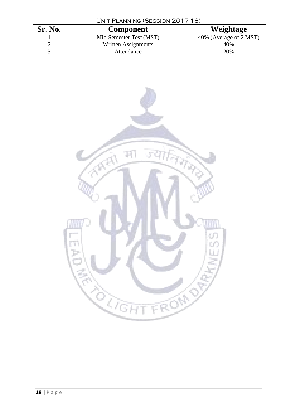| UNIT PLANNING (SESSION 2017-18) |                         |                        |
|---------------------------------|-------------------------|------------------------|
| Sr. No.                         | <b>Component</b>        | Weightage              |
|                                 | Mid Semester Test (MST) | 40% (Average of 2 MST) |
|                                 | Written Assignments     | 40%                    |
|                                 | Attendance              | 20%                    |

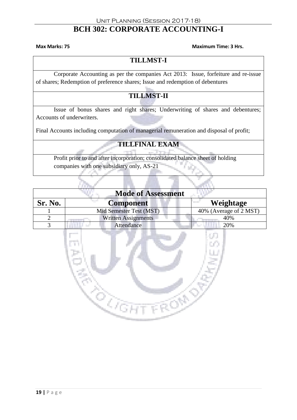## **BCH 302: CORPORATE ACCOUNTING-I**

#### **Max Marks: 75 Maximum Time: 3 Hrs.**

## **TILLMST-I**

Corporate Accounting as per the companies Act 2013: Issue, forfeiture and re-issue of shares; Redemption of preference shares; Issue and redemption of debentures

## **TILLMST-II**

Issue of bonus shares and right shares; Underwriting of shares and debentures; Accounts of underwriters.

Final Accounts including computation of managerial remuneration and disposal of profit;

## **TILLFINAL EXAM**

Profit prior to and after incorporation; consolidated balance sheet of holding companies with one subsidiary only, AS-21

|         | <b>Mode of Assessment</b>  |                                |
|---------|----------------------------|--------------------------------|
| Sr. No. | an an<br>Component         | Weightage<br><b>CONTRACTOR</b> |
|         | Mid Semester Test (MST)    | 40% (Average of 2 MST)         |
|         | <b>Written Assignments</b> | 40%                            |
|         | Attendance                 | 20%                            |

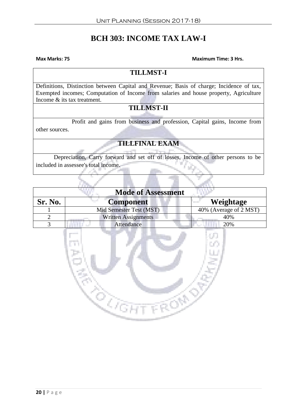## **BCH 303: INCOME TAX LAW-I**

**Max Marks: 75 Maximum Time: 3 Hrs.**

## **TILLMST-I**

Definitions, Distinction between Capital and Revenue; Basis of charge; Incidence of tax, Exempted incomes; Computation of Income from salaries and house property, Agriculture Income & its tax treatment.

## **TILLMST-II**

Profit and gains from business and profession, Capital gains, Income from

other sources.

## **TILLFINAL EXAM**

Depreciation, Carry forward and set off of losses, Income of other persons to be included in assessee's total income.

|         | <b>Mode of Assessment</b>   |                        |
|---------|-----------------------------|------------------------|
| Sr. No. | <b>Component</b><br>ta poli | Weightage              |
|         | Mid Semester Test (MST)     | 40% (Average of 2 MST) |
|         | <b>Written Assignments</b>  | 40%                    |
|         | Attendance                  | 20%                    |

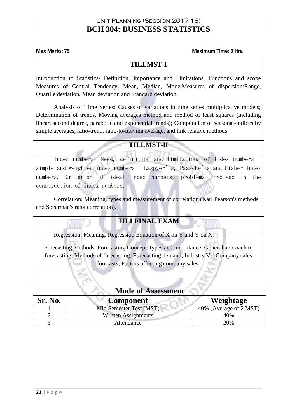## **BCH 304: BUSINESS STATISTICS**

#### **Max Marks: 75 Maximum Time: 3 Hrs.**

### **TILLMST-I**

Introduction to Statistics- Definition, Importance and Limitations, Functions and scope Measures of Central Tendency: Mean, Median, Mode.Measures of dispersion:Range, Quartile deviation, Mean deviation and Standard deviation.

Analysis of Time Series: Causes of variations in time series multiplicative models; Determination of trends, Moving averages method and method of least squares (including linear, second degree, parabolic and exponential trends); Computation of seasonal-indices by simple averages, ratio-trend, ratio-to-moving average, and link relative methods.

### **TILLMST-II**

Index numbers: Need, definition and limitations of Index numbers – simple and weighted index numbers - Laspyer's, Paasche's and Fisher Index numbers, Criterion of ideal index numbers, problems involved in the construction of index numbers.

Correlation: Meaning, types and measurement of correlation (Karl Pearson's methods and Spearman's rank correlation).

### **TILLFINAL EXAM**

Regression: Meaning, Regression Equation of X on Y and Y on X.

Forecasting Methods: Forecasting Concept, types and importance; General approach to forecasting; Methods of forecasting; Forecasting demand; Industry Vs. Company sales forecasts; Factors affecting company sales.

| <b>Mode of Assessment</b> |                            |                        |
|---------------------------|----------------------------|------------------------|
| Sr. No.                   | <b>Component</b>           | Weightage              |
|                           | Mid Semester Test (MST)    | 40% (Average of 2 MST) |
|                           | <b>Written Assignments</b> | 40%                    |
|                           | Attendance                 | 20%                    |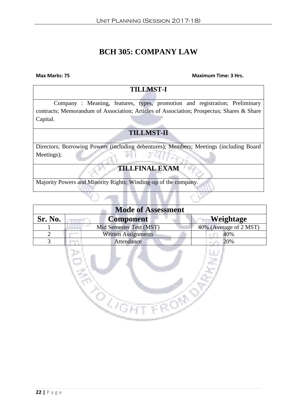## **BCH 305: COMPANY LAW**

#### **Max Marks: 75 Maximum Time: 3 Hrs.**

| <b>TILLMST-I</b>                                                                          |  |  |
|-------------------------------------------------------------------------------------------|--|--|
| Company: Meaning, features, types, promotion and registration; Preliminary                |  |  |
| contracts; Memorandum of Association; Articles of Association; Prospectus; Shares & Share |  |  |
| Capital.                                                                                  |  |  |
|                                                                                           |  |  |
| <b>TILLMST-II</b>                                                                         |  |  |
| Directors; Borrowing Powers (including debentures); Members; Meetings (including Board    |  |  |
| Meetings);                                                                                |  |  |
| <b>TILLFINAL EXAM</b>                                                                     |  |  |
| Majority Powers and Minority Rights; Winding-up of the company.                           |  |  |

| <b>Mode of Assessment</b> |                            |                        |
|---------------------------|----------------------------|------------------------|
| Sr. No.                   | <b>Component</b>           | Weightage              |
|                           | Mid Semester Test (MST)    | 40% (Average of 2 MST) |
|                           | <b>Written Assignments</b> | 40%                    |
|                           | Attendance                 | 20%                    |

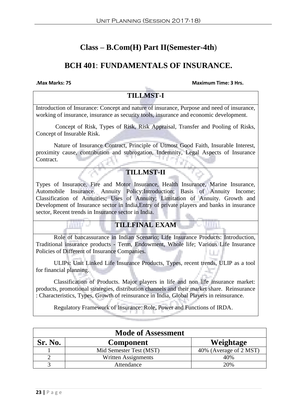## **Class – B.Com(H) Part II(Semester-4th**)

## **BCH 401**: **FUNDAMENTALS OF INSURANCE.**

**.Max Marks: 75 Maximum Time: 3 Hrs.**

## **TILLMST-I**

Introduction of Insurance: Concept and nature of insurance, Purpose and need of insurance, working of insurance, insurance as security tools, insurance and economic development.

Concept of Risk, Types of Risk, Risk Appraisal, Transfer and Pooling of Risks, Concept of Insurable Risk.

Nature of Insurance Contract, Principle of Utmost Good Faith, Insurable Interest, proximity cause, contribution and subrogation, Indemnity, Legal Aspects of Insurance Contract.

#### **TILLMST-II**

Types of Insurance, Fire and Motor Insurance, Health Insurance, Marine Insurance, Automobile Insurance. Annuity Policy:Introduction; Basis of Annuity Income; Classification of Annuities; Uses of Annuity; Limitation of Annuity. Growth and Development of Insurance sector in India,Entry of private players and banks in insurance sector, Recent trends in Insurance sector in India.

### **TILLFINAL EXAM**

Role of bancassurance in Indian Scenario; Life Insurance Products: Introduction, Traditional insurance products - Term, Endowment, Whole life; Various Life Insurance Policies of Different of Insurance Companies.

ULIPs: Unit Linked Life Insurance Products, Types, recent trends, ULIP as a tool for financial planning.

Classification of Products. Major players in life and non life insurance market: products, promotional strategies, distribution channels and their market share. Reinsurance : Characteristics, Types, Growth of reinsurance in India, Global Players in reinsurance.

Regulatory Framework of Insurance: Role, Power and Functions of IRDA.

| <b>Mode of Assessment</b> |                         |                        |
|---------------------------|-------------------------|------------------------|
| Sr. No.                   | <b>Component</b>        | Weightage              |
|                           | Mid Semester Test (MST) | 40% (Average of 2 MST) |
|                           | Written Assignments     | 40%                    |
|                           | Attendance              | 20%                    |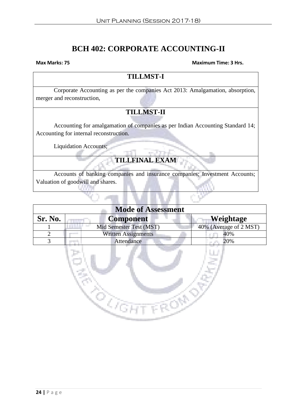## **BCH 402: CORPORATE ACCOUNTING-II**

#### **Max Marks: 75** Maximum Time: 3 Hrs.

#### **TILLMST-I**

Corporate Accounting as per the companies Act 2013: Amalgamation, absorption, merger and reconstruction,

## **TILLMST-II**

Accounting for amalgamation of companies as per Indian Accounting Standard 14; Accounting for internal reconstruction.

Liquidation Accounts;

## **TILLFINAL EXAM**

Accounts of banking companies and insurance companies; Investment Accounts; Valuation of goodwill and shares.

| <b>Mode of Assessment</b> |                            |                        |
|---------------------------|----------------------------|------------------------|
| Sr. No.                   | <b>Component</b>           | Weightage              |
|                           | Mid Semester Test (MST)    | 40% (Average of 2 MST) |
|                           | <b>Written Assignments</b> | 40%                    |
|                           | Attendance                 | 20%                    |
|                           |                            |                        |

 $\mathbb{Q}_{\text{CHT}}$ 

**TROND**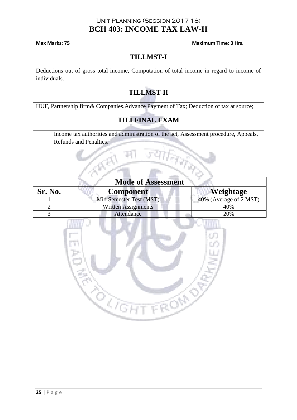## **BCH 403: INCOME TAX LAW-II**

**Max Marks: 75 Maximum Time: 3 Hrs.**

## **TILLMST-I**

Deductions out of gross total income, Computation of total income in regard to income of individuals.

## **TILLMST-II**

HUF, Partnership firm& Companies.Advance Payment of Tax; Deduction of tax at source;

## **TILLFINAL EXAM**

Income tax authorities and administration of the act, Assessment procedure, Appeals, Refunds and Penalties.

| <b>Mode of Assessment</b> |                            |                        |
|---------------------------|----------------------------|------------------------|
| Sr. No.                   | <b>Component</b>           | <b>Weightage</b>       |
|                           | Mid Semester Test (MST)    | 40% (Average of 2 MST) |
|                           | <b>Written Assignments</b> | 40%                    |
|                           | Attendance                 | 20%                    |

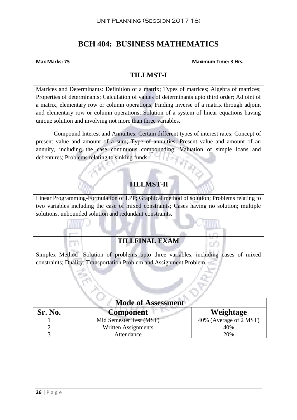## **BCH 404: BUSINESS MATHEMATICS**

#### **Max Marks: 75 Maximum Time: 3 Hrs.**

### **TILLMST-I**

Matrices and Determinants: Definition of a matrix; Types of matrices; Algebra of matrices; Properties of determinants; Calculation of values of determinants upto third order; Adjoint of a matrix, elementary row or column operations; Finding inverse of a matrix through adjoint and elementary row or column operations; Solution of a system of linear equations having unique solution and involving not more than three variables.

Compound Interest and Annuities: Certain different types of interest rates; Concept of present value and amount of a sum; Type of annuities; Present value and amount of an annuity, including the case continuous compounding; Valuation of simple loans and debentures; Problems relating to sinking funds.

## **TILLMST-II**

Linear Programming-Formulation of LPP; Graphical method of solution; Problems relating to two variables including the case of mixed constraints; Cases having no solution; multiple solutions, unbounded solution and redundant constraints.

### **TILLFINAL EXAM**

Simplex Method- Solution of problems upto three variables, including cases of mixed constraints; Duality; Transportation Problem and Assignment Problem.

| <b>Mode of Assessment</b> |                         |                        |
|---------------------------|-------------------------|------------------------|
| Sr. No.                   | <b>Component</b>        | Weightage              |
|                           | Mid Semester Test (MST) | 40% (Average of 2 MST) |
|                           | Written Assignments     | 40%                    |
|                           | Attendance              | 20%                    |

H.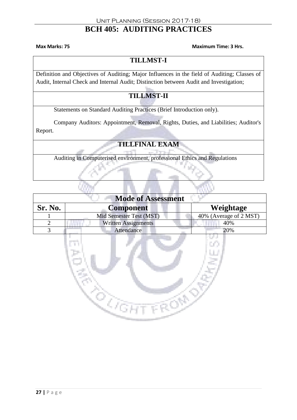## **BCH 405: AUDITING PRACTICES**

**Max Marks: 75 Maximum Time: 3 Hrs.** 

## **TILLMST-I**

Definition and Objectives of Auditing; Major Influences in the field of Auditing; Classes of Audit, Internal Check and Internal Audit; Distinction between Audit and Investigation;

## **TILLMST-II**

Statements on Standard Auditing Practices (Brief Introduction only).

Company Auditors: Appointment, Removal, Rights, Duties, and Liabilities; Auditor's Report.

## **TILLFINAL EXAM**

Auditing in Computerised environment, professional Ethics and Regulations

| <b>Mode of Assessment</b> |                         |                        |
|---------------------------|-------------------------|------------------------|
| Sr. No.                   | <b>Component</b>        | Weightage              |
|                           | Mid Semester Test (MST) | 40% (Average of 2 MST) |
|                           | Written Assignments     | 40%                    |
|                           | Attendance              | 20%                    |
|                           |                         |                        |

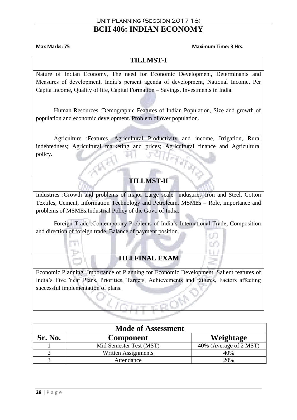## **BCH 406: INDIAN ECONOMY**

#### **Max Marks: 75 Maximum Time: 3 Hrs.**

### **TILLMST-I**

Nature of Indian Economy, The need for Economic Development, Determinants and Measures of development, India's persent agenda of development, National Income, Per Capita Income, Quality of life, Capital Formation – Savings, Investments in India.

Human Resources :Demographic Features of Indian Population, Size and growth of population and economic development. Problem of over population.

Agriculture :Features, Agricultural Productivity and income, Irrigation, Rural indebtedness; Agricultural marketing and prices; Agricultural finance and Agricultural policy.

## **TILLMST-II**

Industries :Growth and problems of major Large scale industries–Iron and Steel, Cotton Textiles, Cement, Information Technology and Petroleum. MSMEs – Role, importance and problems of MSMEs.Industrial Policy of the Govt. of India.

Foreign Trade :Contemporary Problems of India's International Trade, Composition and direction of foreign trade, Balance of payment position.

## **TILLFINAL EXAM**

Economic Planning :Importance of Planning for Economic Development. Salient features of India's Five Year Plans, Priorities, Targets, Achievements and failures, Factors affecting successful implementation of plans.

| <b>Mode of Assessment</b> |                         |                        |
|---------------------------|-------------------------|------------------------|
| Sr. No.                   | <b>Component</b>        | Weightage              |
|                           | Mid Semester Test (MST) | 40% (Average of 2 MST) |
|                           | Written Assignments     | 40%                    |
|                           | Attendance              | 20%                    |

T)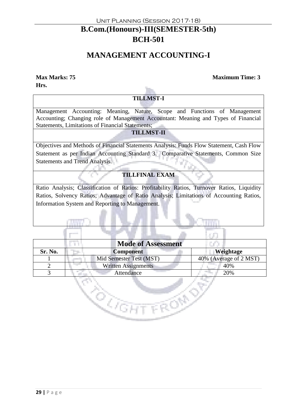## **B.Com.(Honours)-III(SEMESTER-5th) BCH-501**

## **MANAGEMENT ACCOUNTING-I**

**Hrs.**

#### **Max Marks: 75 Maximum Time: 3**

#### **TILLMST-I**

Management Accounting: Meaning, Nature, Scope and Functions of Management Accounting; Changing role of Management Accountant: Meaning and Types of Financial Statements, Limitations of Financial Statements;

#### **TILLMST-II**

Objectives and Methods of Financial Statements Analysis: Funds Flow Statement, Cash Flow Statement as per Indian Accounting Standard 3. Comparative Statements, Common Size Statements and Trend Analysis.

#### **TILLFINAL EXAM**

Ratio Analysis; Classification of Ratios: Profitability Ratios, Turnover Ratios, Liquidity Ratios, Solvency Ratios; Advantage of Ratio Analysis; Limitations of Accounting Ratios, Information System and Reporting to Management.

|         | <b>Mode of Assessment</b>  |                        |
|---------|----------------------------|------------------------|
| Sr. No. | <b>Component</b>           | Weightage              |
|         | Mid Semester Test (MST)    | 40% (Average of 2 MST) |
| ∍       | <b>Written Assignments</b> | 40%                    |
| 3       | Attendance                 | 20%                    |
|         |                            |                        |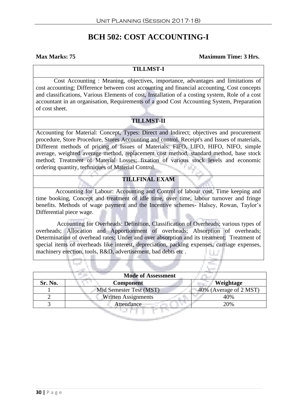## **BCH 502: COST ACCOUNTING-I**

#### **Max Marks: 75 Maximum Time: 3 Hrs.**

#### **TILLMST-I**

Cost Accounting : Meaning, objectives, importance, advantages and limitations of cost accounting; Difference between cost accounting and financial accounting, Cost concepts and classifications, Various Elements of cost, Installation of a costing system, Role of a cost accountant in an organisation, Requirements of a good Cost Accounting System, Preparation of cost sheet.

#### **TILLMST-II**

Accounting for Material: Concept, Types: Direct and Indirect; objectives and procurement procedure, Store Procedure, Stores Accounting and control. Receipt's and Issues of materials, Different methods of pricing of Issues of Materials: FIFO, LIFO, HIFO, NIFO, simple average, weighted average method, replacement cost method, standard method, base stock method; Treatment of Material Losses; fixation of various stock levels and economic ordering quantity, techniques of Material Control.

#### **TILLFINAL EXAM**

 Accounting for Labour: Accounting and Control of labour cost, Time keeping and time booking, Concept and treatment of idle time, over time, labour turnover and fringe benefits. Methods of wage payment and the Incentive schemes- Halsey, Rowan, Taylor's Differential piece wage.

 Accounting for Overheads: Definition, Classification of Overheads; various types of overheads; Allocation and Apportionment of overheads; Absorption of overheads; Determination of overhead rates; Under and over absorption and its treatment; Treatment of special items of overheads like interest, depreciation, packing expenses, carriage expenses, machinery erection, tools, R&D, advertisement, bad debts etc .

| <b>Mode of Assessment</b> |                            |                        |
|---------------------------|----------------------------|------------------------|
| Sr. No.                   | <b>Component</b>           | Weightage              |
|                           | Mid Semester Test (MST)    | 40% (Average of 2 MST) |
|                           | <b>Written Assignments</b> | 40%                    |
|                           | Attendance                 | 20%                    |
|                           |                            |                        |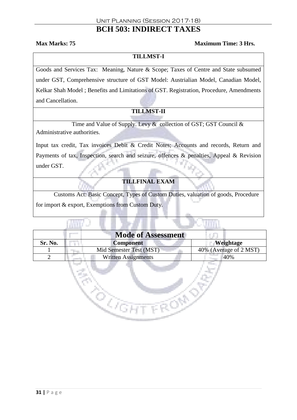## **BCH 503: INDIRECT TAXES**

#### **Max Marks: 75 Maximum Time: 3 Hrs.**

#### **TILLMST-I**

Goods and Services Tax: Meaning, Nature & Scope; Taxes of Centre and State subsumed under GST, Comprehensive structure of GST Model: Austrialian Model, Canadian Model, Kelkar Shah Model ; Benefits and Limitations of GST. Registration, Procedure, Amendments and Cancellation.

#### **TILLMST-II**

Time and Value of Supply. Levy & collection of GST; GST Council & Administrative authorities.

Input tax credit, Tax invoices Debit & Credit Notes; Accounts and records, Return and Payments of tax, Inspection, search and seizure, offences & penalties, Appeal & Revision under GST.

#### **TILLFINAL EXAM**

Customs Act: Basic Concept, Types of Custom Duties, valuation of goods, Procedure for import & export, Exemptions from Custom Duty.

|         | <b>Mode of Assessment</b>  |                        |  |
|---------|----------------------------|------------------------|--|
| Sr. No. | <b>Component</b>           | Weightage              |  |
|         | Mid Semester Test (MST)    | 40% (Average of 2 MST) |  |
|         | <b>Written Assignments</b> | 40%                    |  |
|         |                            |                        |  |

FRON

da yan<br>Kan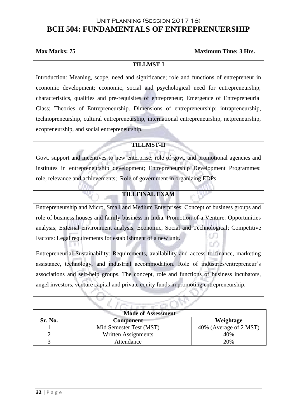#### Unit Planning (Session 2017-18)

## **BCH 504: FUNDAMENTALS OF ENTREPRENUERSHIP**

#### **Max Marks: 75** Maximum Time: 3 Hrs.

#### **TILLMST-I**

Introduction: Meaning, scope, need and significance; role and functions of entrepreneur in economic development; economic, social and psychological need for entrepreneurship; characteristics, qualities and pre-requisites of entrepreneur; Emergence of Entrepreneurial Class; Theories of Entrepreneurship. Dimensions of entrepreneurship: intrapreneurship, technopreneurship, cultural entrepreneurship, international entrepreneurship, netpreneurship, ecopreneurship, and social entrepreneurship.

#### **TILLMST-II**

Govt. support and incentives to new enterprise; role of govt. and promotional agencies and institutes in entrepreneurship development; Entrepreneurship Development Programmes: role, relevance and achievements; Role of government in organizing EDPs.

#### **TILLFINAL EXAM**

Entrepreneurship and Micro, Small and Medium Enterprises: Concept of business groups and role of business houses and family business in India. Promotion of a Venture: Opportunities analysis; External environment analysis, Economic, Social and Technological; Competitive o. Factors: Legal requirements for establishment of a new unit. 0O.

Entrepreneurial Sustainability: Requirements, availability and access to finance, marketing assistance, technology, and industrial accommodation. Role of industries/entrepreneur's associations and self-help groups. The concept, role and functions of business incubators, angel investors, venture capital and private equity funds in promoting entrepreneurship.

| <b>Mode of Assessment</b> |                            |                        |
|---------------------------|----------------------------|------------------------|
| Sr. No.                   | Component                  | Weightage              |
|                           | Mid Semester Test (MST)    | 40% (Average of 2 MST) |
|                           | <b>Written Assignments</b> | 40%                    |
|                           | Attendance                 | 20%                    |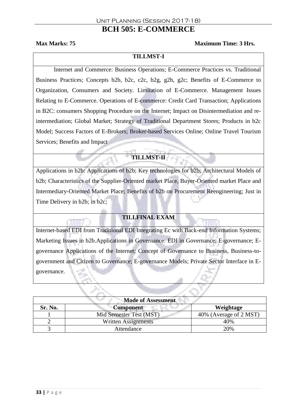## **BCH 505: E-COMMERCE**

#### **Max Marks: 75** Maximum Time: 3 Hrs.

#### **TILLMST-I**

Internet and Commerce: Business Operations; E-Commerce Practices vs. Traditional Business Practices; Concepts b2b, b2c, c2c, b2g, g2h, g2c; Benefits of E-Commerce to Organization, Consumers and Society. Limitation of E-Commerce. Management Issues Relating to E-Commerce. Operations of E-commerce: Credit Card Transaction; Applications in B2C: consumers Shopping Procedure on the Internet; Impact on Disintermediation and reintermediation; Global Market; Strategy of Traditional Department Stores; Products in b2c Model; Success Factors of E-Brokers; Broker-based Services Online; Online Travel Tourism Services; Benefits and Impact

#### **TILLMST-II**

Applications in b2b: Applications of b2b; Key technologies for b2b; Architectural Models of b2b; Characteristics of the Supplier-Oriented market Place, Buyer-Oriented market Place and Intermediary-Oriented Market Place; Benefits of b2b on Procurement Reengineering; Just in Time Delivery in b2b; in b2c;

#### **TILLFINAL EXAM**

Internet-based EDI from Traditional EDI Integrating Ec with Back-end Information Systems; Marketing Issues in b2b.Applications in Governance: EDI in Governance; E-governance; Egovernance Applications of the Internet; Concept of Governance to Business, Business-togovernment and Citizen to Governance; E-governance Models; Private Sector Interface in Egovernance.

| <b>Mode of Assessment</b> |                            |                        |
|---------------------------|----------------------------|------------------------|
| Sr. No.                   | Component                  | Weightage              |
|                           | Mid Semester Test (MST)    | 40% (Average of 2 MST) |
|                           | <b>Written Assignments</b> | 40%                    |
|                           | Attendance                 | 20%                    |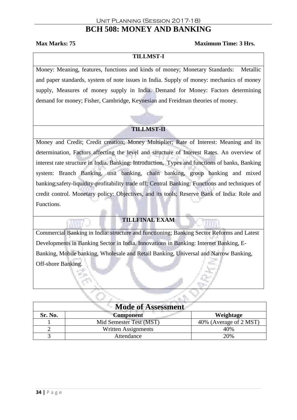## **BCH 508: MONEY AND BANKING**

#### **Max Marks: 75 Maximum Time: 3 Hrs.**

**TILLMST-I**

Money: Meaning, features, functions and kinds of money; Monetary Standards: Metallic and paper standards, system of note issues in India. Supply of money: mechanics of money supply, Measures of money supply in India. Demand for Money: Factors determining demand for money; Fisher, Cambridge, Keynesian and Freidman theories of money.

#### **TILLMST-II**

Money and Credit; Credit creation; Money Multiplier; Rate of Interest: Meaning and its determination, Factors affecting the level and structure of Interest Rates. An overview of interest rate structure in India. Banking: Introduction, Types and functions of banks, Banking system: Branch Banking, unit banking, chain banking, group banking and mixed banking;safety-liquidity-profitability trade off; Central Banking: Functions and techniques of credit control. Monetary policy: Objectives, and its tools; Reserve Bank of India: Role and Functions.

#### **TILLFINAL EXAM**

Commercial Banking in India: structure and functioning; Banking Sector Reforms and Latest Developments in Banking Sector in India. Innovations in Banking: Internet Banking, E-Banking, Mobile banking, Wholesale and Retail Banking, Universal and Narrow Banking, Off-shore Banking.

| <b>Mode of Assessment</b> |                         |                        |
|---------------------------|-------------------------|------------------------|
| Sr. No.                   | <b>Component</b>        | Weightage              |
|                           | Mid Semester Test (MST) | 40% (Average of 2 MST) |
|                           | Written Assignments     | 40%                    |
|                           | Attendance              | 20%                    |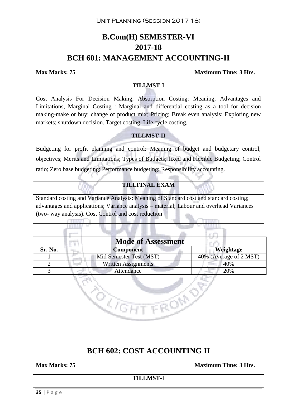## **B.Com(H) SEMESTER-VI 2017-18 BCH 601: MANAGEMENT ACCOUNTING-II**

#### **Max Marks: 75 Maximum Time: 3 Hrs.**

#### **TILLMST-I**

Cost Analysis For Decision Making, Absorption Costing: Meaning, Advantages and Limitations, Marginal Costing : Marginal and differential costing as a tool for decision making-make or buy; change of product mix; Pricing; Break even analysis; Exploring new markets; shutdown decision. Target costing, Life cycle costing.

#### **TILLMST-II**

Budgeting for profit planning and control: Meaning of budget and budgetary control; objectives; Merits and Limitations; Types of Budgets; fixed and Flexible Budgeting; Control ratio; Zero base budgeting; Performance budgeting; Responsibility accounting.

#### **TILLFINAL EXAM**

Standard costing and Variance Analysis: Meaning of Standard cost and standard costing; advantages and applications; Variance analysis – material; Labour and overhead Variances (two- way analysis). Cost Control and cost reduction

|         | <b>Mode of Assessment</b>     |                        |
|---------|-------------------------------|------------------------|
| Sr. No. | <b>Component</b>              | Weightage              |
|         | Mid Semester Test (MST)       | 40% (Average of 2 MST) |
|         | <b>Written Assignments</b>    | 40%                    |
|         | Attendance<br><b>ALCOHOL:</b> | 20%                    |

FRONT

en<br>Kana

## **BCH 602: COST ACCOUNTING II**

**Max Marks: 75 Maximum Time: 3 Hrs.**

**TILLMST-I**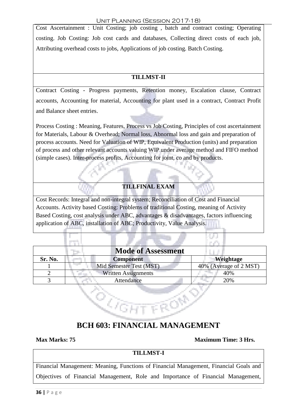#### Unit Planning (Session 2017-18)

Cost Ascertainment : Unit Costing; job costing , batch and contract costing; Operating costing. Job Costing: Job cost cards and databases, Collecting direct costs of each job, Attributing overhead costs to jobs, Applications of job costing. Batch Costing.

#### **TILLMST-II**

Contract Costing - Progress payments, Retention money, Escalation clause, Contract accounts, Accounting for material, Accounting for plant used in a contract, Contract Profit and Balance sheet entries.

Process Costing : Meaning, Features, Process vs Job Costing, Principles of cost ascertainment for Materials, Labour & Overhead; Normal loss, Abnormal loss and gain and preparation of process accounts. Need for Valuation of WIP, Equivalent Production (units) and preparation of process and other relevant accounts valuing WIP under average method and FIFO method (simple cases). Inter-process profits, Accounting for joint, co and by products.

#### **TILLFINAL EXAM**

Cost Records: Integral and non-integral system; Reconciliation of Cost and Financial Accounts. Activity based Costing: Problems of traditional Costing, meaning of Activity Based Costing, cost analysis under ABC, advantages & disadvantages, factors influencing application of ABC, installation of ABC; Productivity, Value Analysis.

|         | <b>Mode of Assessment</b>  |                        |
|---------|----------------------------|------------------------|
| Sr. No. | <b>Component</b>           | Weightage              |
|         | Mid Semester Test (MST)    | 40% (Average of 2 MST) |
|         | <b>Written Assignments</b> | 40%                    |
|         | Attendance                 | 20%                    |

## **BCH 603: FINANCIAL MANAGEMENT**

**C**OGHT FROM

**Max Marks: 75 Maximum Time: 3 Hrs.**

#### **TILLMST-I**

Financial Management: Meaning, Functions of Financial Management, Financial Goals and Objectives of Financial Management, Role and Importance of Financial Management,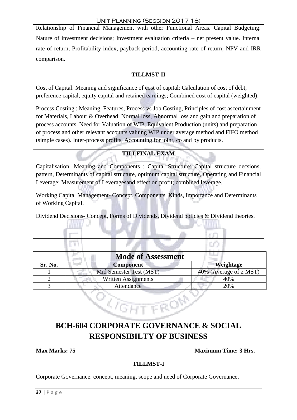Relationship of Financial Management with other Functional Areas. Capital Budgeting: Nature of investment decisions; Investment evaluation criteria – net present value. Internal rate of return, Profitability index, payback period, accounting rate of return; NPV and IRR comparison.

### **TILLMST-II**

Cost of Capital: Meaning and significance of cost of capital: Calculation of cost of debt, preference capital, equity capital and retained earnings; Combined cost of capital (weighted).

Process Costing : Meaning, Features, Process vs Job Costing, Principles of cost ascertainment for Materials, Labour & Overhead; Normal loss, Abnormal loss and gain and preparation of process accounts. Need for Valuation of WIP, Equivalent Production (units) and preparation of process and other relevant accounts valuing WIP under average method and FIFO method (simple cases). Inter-process profits, Accounting for joint, co and by products.

### **TILLFINAL EXAM**

Capitalisation: Meaning and Components ; Capital Structure: Capital structure decsions, pattern, Determinants of capital structure, optimum capital structure, Operating and Financial Leverage: Measurement of Leveragesand effect on profit; combined leverage.

Working Capital Management- Concept, Components, Kinds, Importance and Determinants of Working Capital.

Dividend Decisions- Concept, Forms of Dividends, Dividend policies & Dividend theories.

| <b>Mode of Assessment</b> |                            |                        |  |  |
|---------------------------|----------------------------|------------------------|--|--|
| Sr. No.                   | <b>Component</b>           | Weightage              |  |  |
|                           | Mid Semester Test (MST)    | 40% (Average of 2 MST) |  |  |
|                           | <b>Written Assignments</b> | 40%                    |  |  |
|                           | Attendance                 | 20%                    |  |  |

## **BCH-604 CORPORATE GOVERNANCE & SOCIAL RESPONSIBILTY OF BUSINESS**

<sup>2</sup> GHT ROP

**Max Marks: 75 Maximum Time: 3 Hrs.**

## **TILLMST-I**

Corporate Governance: concept, meaning, scope and need of Corporate Governance,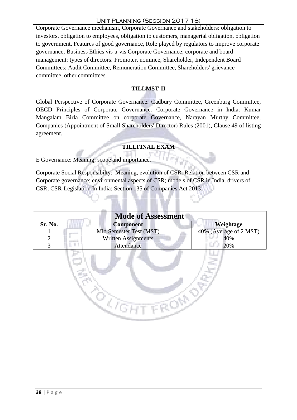Corporate Governance mechanism, Corporate Governance and stakeholders: obligation to investors, obligation to employees, obligation to customers, managerial obligation, obligation to government. Features of good governance, Role played by regulators to improve corporate governance, Business Ethics vis-a-vis Corporate Governance; corporate and board management: types of directors: Promoter, nominee, Shareholder, Independent Board Committees: Audit Committee, Remuneration Committee, Shareholders' grievance committee, other committees.

#### **TILLMST-II**

Global Perspective of Corporate Governance: Cadbury Committee, Greenburg Committee, OECD Principles of Corporate Governance. Corporate Governance in India: Kumar Mangalam Birla Committee on corporate Governance, Narayan Murthy Committee, Companies (Appointment of Small Shareholders' Director) Rules (2001), Clause 49 of listing agreement.

#### **TILLFINAL EXAM**

E Governance: Meaning, scope and importance.

Corporate Social Responsibilty: Meaning, evolution of CSR. Relation between CSR and Corporate governance; environmental aspects of CSR; models of CSR in India, drivers of CSR; CSR-Legislation In India: Section 135 of Companies Act 2013.

| <b>Mode of Assessment</b>   |                            |                        |  |  |  |
|-----------------------------|----------------------------|------------------------|--|--|--|
| Sr. No.                     | <b>Component</b>           | Weightage              |  |  |  |
|                             | Mid Semester Test (MST)    | 40% (Average of 2 MST) |  |  |  |
| $\mathcal{D}_{\mathcal{A}}$ | <b>Written Assignments</b> | 40%                    |  |  |  |
| 3                           | Attendance                 | 20%                    |  |  |  |
|                             |                            |                        |  |  |  |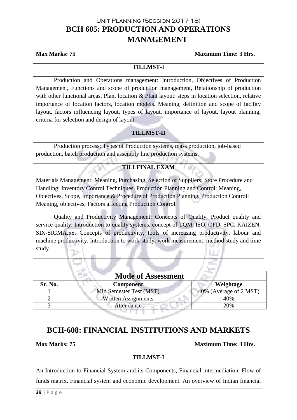## Unit Planning (Session 2017-18) **BCH 605: PRODUCTION AND OPERATIONS MANAGEMENT**

#### **Max Marks: 75 Maximum Time: 3 Hrs.**

#### **TILLMST-I**

Production and Operations management: Introduction, Objectives of Production Management, Functions and scope of production management, Relationship of production with other functional areas. Plant location & Plant layout: steps in location selection, relative importance of location factors, location models. Meaning, definition and scope of facility layout, factors influencing layout, types of layout, importance of layout, layout planning, criteria for selection and design of layout.

#### **TILLMST-II**

Production process: Types of Production systems, mass production, job-based production, batch production and assembly line production systems.

#### **TILLFINAL EXAM**

Materials Management: Meaning, Purchasing, Selection of Suppliers; Store Procedure and Handling; Inventory Control Techniques. Production Planning and Control: Meaning, Objectives, Scope, Importance & Procedure of Production Planning. Production Control: Meaning, objectives, Factors affecting Production Control.

Quality and Productivity Management: Concepts of Quality, Product quality and service quality. Introduction to quality systems, concept of TQM, ISO, QFD, SPC, KAIZEN, SIX-SIGMA,5S. Concepts of productivity, tools of increasing productivity, labour and machine productivity. Introduction to work-study, work measurement, method study and time study.

| <b>Mode of Assessment</b> |                            |                        |  |  |
|---------------------------|----------------------------|------------------------|--|--|
| Sr. No.                   | <b>Component</b>           | Weightage              |  |  |
|                           | Mid Semester Test (MST)    | 40% (Average of 2 MST) |  |  |
|                           | <b>Written Assignments</b> | 40%                    |  |  |
|                           | <b>Attendance</b>          | 20%                    |  |  |
|                           |                            |                        |  |  |

## **BCH-608: FINANCIAL INSTITUTIONS AND MARKETS**

#### **Max Marks: 75** Maximum Time: 3 Hrs.

#### **TILLMST-I**

An Introduction to Financial System and its Components, Financial intermediation, Flow of

funds matrix. Financial system and economic development. An overview of Indian financial